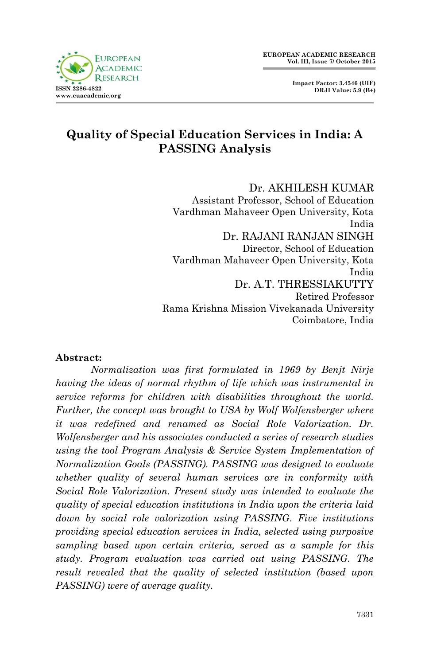

# **Quality of Special Education Services in India: A PASSING Analysis**

Dr. AKHILESH KUMAR Assistant Professor, School of Education Vardhman Mahaveer Open University, Kota India Dr. RAJANI RANJAN SINGH Director, School of Education Vardhman Mahaveer Open University, Kota India Dr. A.T. THRESSIAKUTTY Retired Professor Rama Krishna Mission Vivekanada University Coimbatore, India

## **Abstract:**

*Normalization was first formulated in 1969 by Benjt Nirje having the ideas of normal rhythm of life which was instrumental in service reforms for children with disabilities throughout the world. Further, the concept was brought to USA by Wolf Wolfensberger where it was redefined and renamed as Social Role Valorization. Dr. Wolfensberger and his associates conducted a series of research studies using the tool Program Analysis & Service System Implementation of Normalization Goals (PASSING). PASSING was designed to evaluate whether quality of several human services are in conformity with Social Role Valorization. Present study was intended to evaluate the quality of special education institutions in India upon the criteria laid down by social role valorization using PASSING. Five institutions providing special education services in India, selected using purposive sampling based upon certain criteria, served as a sample for this study. Program evaluation was carried out using PASSING. The result revealed that the quality of selected institution (based upon PASSING) were of average quality.*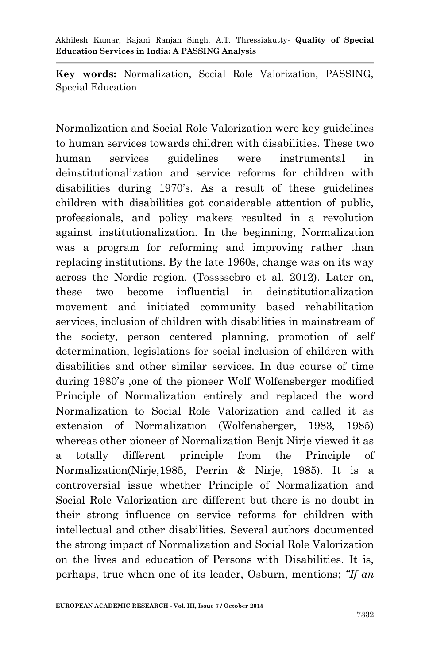**Key words:** Normalization, Social Role Valorization, PASSING, Special Education

Normalization and Social Role Valorization were key guidelines to human services towards children with disabilities. These two human services guidelines were instrumental in deinstitutionalization and service reforms for children with disabilities during 1970"s. As a result of these guidelines children with disabilities got considerable attention of public, professionals, and policy makers resulted in a revolution against institutionalization. In the beginning, Normalization was a program for reforming and improving rather than replacing institutions. By the late 1960s, change was on its way across the Nordic region. (Tossssebro et al. 2012). Later on, these two become influential in deinstitutionalization movement and initiated community based rehabilitation services, inclusion of children with disabilities in mainstream of the society, person centered planning, promotion of self determination, legislations for social inclusion of children with disabilities and other similar services. In due course of time during 1980"s ,one of the pioneer Wolf Wolfensberger modified Principle of Normalization entirely and replaced the word Normalization to Social Role Valorization and called it as extension of Normalization (Wolfensberger, 1983, 1985) whereas other pioneer of Normalization Benjt Nirje viewed it as a totally different principle from the Principle of Normalization(Nirje,1985, Perrin & Nirje, 1985). It is a controversial issue whether Principle of Normalization and Social Role Valorization are different but there is no doubt in their strong influence on service reforms for children with intellectual and other disabilities. Several authors documented the strong impact of Normalization and Social Role Valorization on the lives and education of Persons with Disabilities. It is, perhaps, true when one of its leader, Osburn, mentions; *"If an*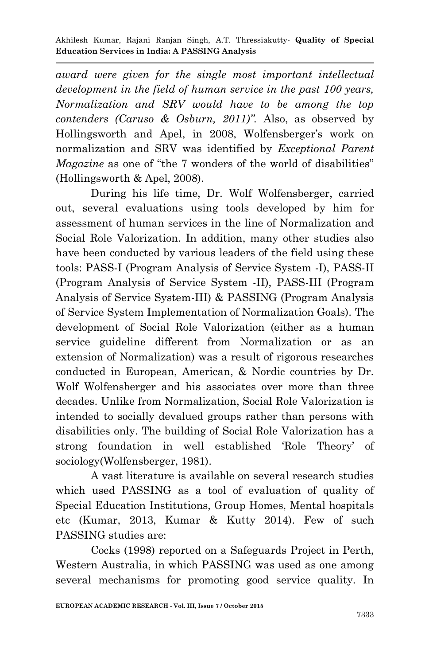*award were given for the single most important intellectual development in the field of human service in the past 100 years, Normalization and SRV would have to be among the top contenders (Caruso & Osburn, 2011)".* Also, as observed by Hollingsworth and Apel, in 2008, Wolfensberger's work on normalization and SRV was identified by *Exceptional Parent Magazine* as one of "the 7 wonders of the world of disabilities" (Hollingsworth & Apel, 2008).

During his life time, Dr. Wolf Wolfensberger, carried out, several evaluations using tools developed by him for assessment of human services in the line of Normalization and Social Role Valorization. In addition, many other studies also have been conducted by various leaders of the field using these tools: PASS-I (Program Analysis of Service System -I), PASS-II (Program Analysis of Service System -II), PASS-III (Program Analysis of Service System-III) & PASSING (Program Analysis of Service System Implementation of Normalization Goals). The development of Social Role Valorization (either as a human service guideline different from Normalization or as an extension of Normalization) was a result of rigorous researches conducted in European, American, & Nordic countries by Dr. Wolf Wolfensberger and his associates over more than three decades. Unlike from Normalization, Social Role Valorization is intended to socially devalued groups rather than persons with disabilities only. The building of Social Role Valorization has a strong foundation in well established "Role Theory" of sociology(Wolfensberger, 1981).

A vast literature is available on several research studies which used PASSING as a tool of evaluation of quality of Special Education Institutions, Group Homes, Mental hospitals etc (Kumar, 2013, Kumar & Kutty 2014). Few of such PASSING studies are:

Cocks (1998) reported on a Safeguards Project in Perth, Western Australia, in which PASSING was used as one among several mechanisms for promoting good service quality. In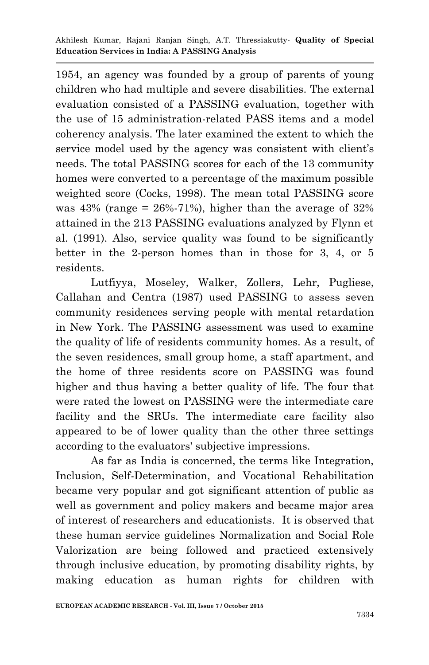1954, an agency was founded by a group of parents of young children who had multiple and severe disabilities. The external evaluation consisted of a PASSING evaluation, together with the use of 15 administration-related PASS items and a model coherency analysis. The later examined the extent to which the service model used by the agency was consistent with client's needs. The total PASSING scores for each of the 13 community homes were converted to a percentage of the maximum possible weighted score (Cocks, 1998). The mean total PASSING score was  $43\%$  (range =  $26\% - 71\%$ ), higher than the average of  $32\%$ attained in the 213 PASSING evaluations analyzed by Flynn et al. (1991). Also, service quality was found to be significantly better in the 2-person homes than in those for 3, 4, or 5 residents.

Lutfiyya, Moseley, Walker, Zollers, Lehr, Pugliese, Callahan and Centra (1987) used PASSING to assess seven community residences serving people with mental retardation in New York. The PASSING assessment was used to examine the quality of life of residents community homes. As a result, of the seven residences, small group home, a staff apartment, and the home of three residents score on PASSING was found higher and thus having a better quality of life. The four that were rated the lowest on PASSING were the intermediate care facility and the SRUs. The intermediate care facility also appeared to be of lower quality than the other three settings according to the evaluators' subjective impressions.

As far as India is concerned, the terms like Integration, Inclusion, Self-Determination, and Vocational Rehabilitation became very popular and got significant attention of public as well as government and policy makers and became major area of interest of researchers and educationists. It is observed that these human service guidelines Normalization and Social Role Valorization are being followed and practiced extensively through inclusive education, by promoting disability rights, by making education as human rights for children with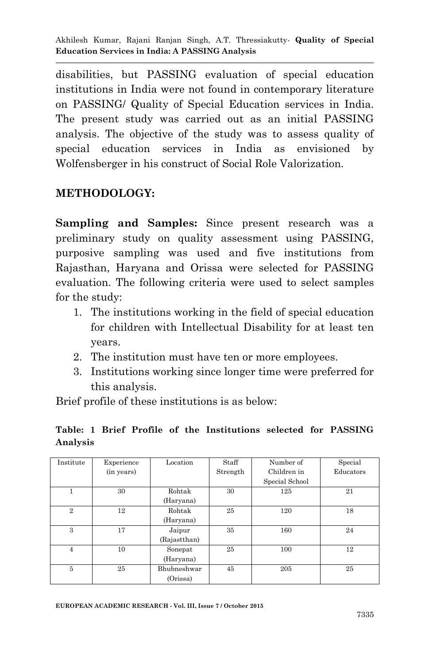disabilities, but PASSING evaluation of special education institutions in India were not found in contemporary literature on PASSING/ Quality of Special Education services in India. The present study was carried out as an initial PASSING analysis. The objective of the study was to assess quality of special education services in India as envisioned by Wolfensberger in his construct of Social Role Valorization.

## **METHODOLOGY:**

**Sampling and Samples:** Since present research was a preliminary study on quality assessment using PASSING, purposive sampling was used and five institutions from Rajasthan, Haryana and Orissa were selected for PASSING evaluation. The following criteria were used to select samples for the study:

- 1. The institutions working in the field of special education for children with Intellectual Disability for at least ten years.
- 2. The institution must have ten or more employees.
- 3. Institutions working since longer time were preferred for this analysis.

Brief profile of these institutions is as below:

### **Table: 1 Brief Profile of the Institutions selected for PASSING Analysis**

| Institute      | Experience | Location     | Staff    | Number of      | Special   |
|----------------|------------|--------------|----------|----------------|-----------|
|                | (in years) |              | Strength | Children in    | Educators |
|                |            |              |          | Special School |           |
|                | 30         | Rohtak       | 30       | 125            | 21        |
|                |            | (Haryana)    |          |                |           |
| $\mathbf{2}$   | 12         | Rohtak       | 25       | 120            | 18        |
|                |            | (Haryana)    |          |                |           |
| 3              | 17         | Jaipur       | 35       | 160            | 24        |
|                |            | (Rajastthan) |          |                |           |
| $\overline{4}$ | 10         | Sonepat      | 25       | 100            | 12        |
|                |            | (Haryana)    |          |                |           |
| 5              | 25         | Bhubneshwar  | 45       | 205            | 25        |
|                |            | (Orissa)     |          |                |           |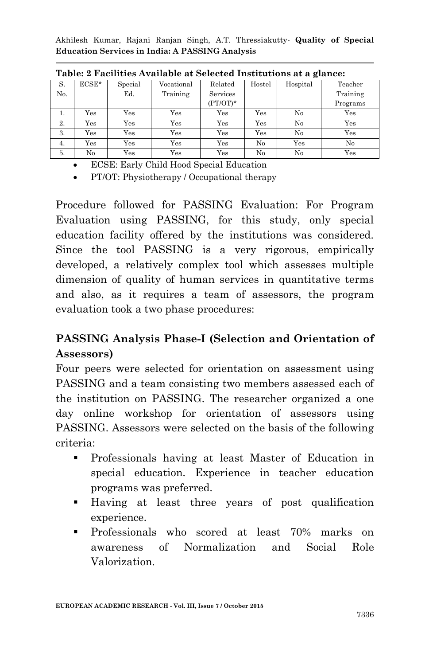| S.  | $ECSE*$      | Special      | Vocational | Related     | Hostel | Hospital | Teacher  |
|-----|--------------|--------------|------------|-------------|--------|----------|----------|
| No. |              | Ed.          | Training   | Services    |        |          | Training |
|     |              |              |            | $(PT/OT)^*$ |        |          | Programs |
| 1.  | Yes          | Yes          | Yes        | Yes         | Yes    | No       | Yes      |
| 2.  | Yes          | Yes          | Yes        | Yes         | Yes    | No       | Yes      |
| 3.  | $_{\rm Yes}$ | Yes          | Yes        | Yes         | Yes    | No       | Yes      |
| 4.  | Yes          | Yes          | Yes        | Yes         | No     | Yes      | No       |
| 5.  | No           | $_{\rm Yes}$ | Yes        | Yes         | No     | No       | Yes      |

**Table: 2 Facilities Available at Selected Institutions at a glance:**

ECSE: Early Child Hood Special Education

PT/OT: Physiotherapy / Occupational therapy

Procedure followed for PASSING Evaluation: For Program Evaluation using PASSING, for this study, only special education facility offered by the institutions was considered. Since the tool PASSING is a very rigorous, empirically developed, a relatively complex tool which assesses multiple dimension of quality of human services in quantitative terms and also, as it requires a team of assessors, the program evaluation took a two phase procedures:

# **PASSING Analysis Phase-I (Selection and Orientation of Assessors)**

Four peers were selected for orientation on assessment using PASSING and a team consisting two members assessed each of the institution on PASSING. The researcher organized a one day online workshop for orientation of assessors using PASSING. Assessors were selected on the basis of the following criteria:

- Professionals having at least Master of Education in special education. Experience in teacher education programs was preferred.
- Having at least three years of post qualification experience.
- **Professionals** who scored at least 70% marks on awareness of Normalization and Social Role Valorization.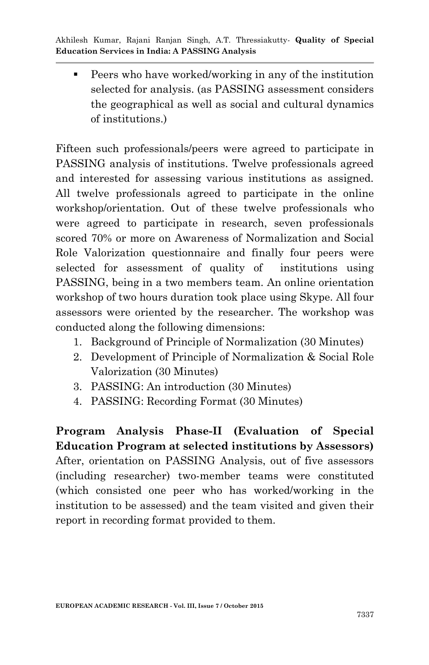Peers who have worked/working in any of the institution selected for analysis. (as PASSING assessment considers the geographical as well as social and cultural dynamics of institutions.)

Fifteen such professionals/peers were agreed to participate in PASSING analysis of institutions. Twelve professionals agreed and interested for assessing various institutions as assigned. All twelve professionals agreed to participate in the online workshop/orientation. Out of these twelve professionals who were agreed to participate in research, seven professionals scored 70% or more on Awareness of Normalization and Social Role Valorization questionnaire and finally four peers were selected for assessment of quality of institutions using PASSING, being in a two members team. An online orientation workshop of two hours duration took place using Skype. All four assessors were oriented by the researcher. The workshop was conducted along the following dimensions:

- 1. Background of Principle of Normalization (30 Minutes)
- 2. Development of Principle of Normalization & Social Role Valorization (30 Minutes)
- 3. PASSING: An introduction (30 Minutes)
- 4. PASSING: Recording Format (30 Minutes)

**Program Analysis Phase-II (Evaluation of Special Education Program at selected institutions by Assessors)** After, orientation on PASSING Analysis, out of five assessors (including researcher) two-member teams were constituted (which consisted one peer who has worked/working in the institution to be assessed) and the team visited and given their report in recording format provided to them.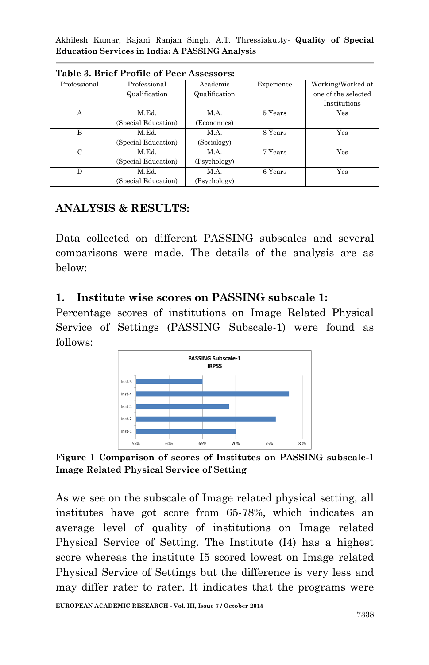| Professional  | Professional        | Academic      | Experience | Working/Worked at   |  |  |  |
|---------------|---------------------|---------------|------------|---------------------|--|--|--|
|               | Qualification       | Qualification |            | one of the selected |  |  |  |
|               |                     |               |            | Institutions        |  |  |  |
| A             | M.Ed.               | M.A.          | 5 Years    | Yes                 |  |  |  |
|               | (Special Education) | (Economics)   |            |                     |  |  |  |
| B             | M.Ed.               | M.A.          | 8 Years    | Yes                 |  |  |  |
|               | (Special Education) | (Sociology)   |            |                     |  |  |  |
| $\mathcal{C}$ | M.Ed.               | M.A.          | 7 Years    | Yes                 |  |  |  |
|               | (Special Education) | (Psychology)  |            |                     |  |  |  |
| D             | M.Ed.               | M.A.          | 6 Years    | Yes                 |  |  |  |
|               | (Special Education) | (Psychology)  |            |                     |  |  |  |

**Table 3. Brief Profile of Peer Assessors:**

# **ANALYSIS & RESULTS:**

Data collected on different PASSING subscales and several comparisons were made. The details of the analysis are as below:

## **1. Institute wise scores on PASSING subscale 1:**

Percentage scores of institutions on Image Related Physical Service of Settings (PASSING Subscale-1) were found as follows:



**Figure 1 Comparison of scores of Institutes on PASSING subscale-1 Image Related Physical Service of Setting**

As we see on the subscale of Image related physical setting, all institutes have got score from 65-78%, which indicates an average level of quality of institutions on Image related Physical Service of Setting. The Institute (I4) has a highest score whereas the institute I5 scored lowest on Image related Physical Service of Settings but the difference is very less and may differ rater to rater. It indicates that the programs were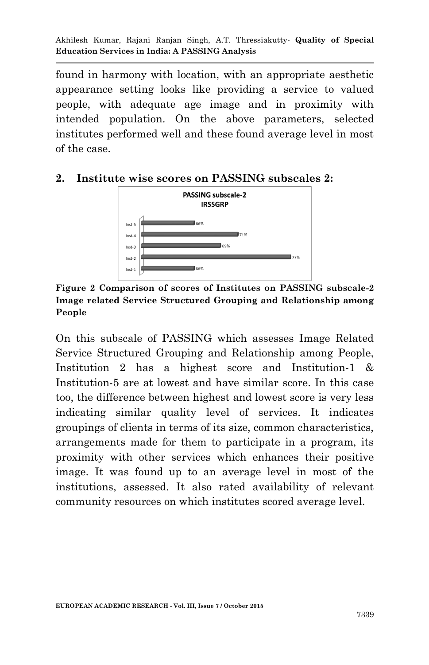found in harmony with location, with an appropriate aesthetic appearance setting looks like providing a service to valued people, with adequate age image and in proximity with intended population. On the above parameters, selected institutes performed well and these found average level in most of the case.

## **2. Institute wise scores on PASSING subscales 2:**



**Figure 2 Comparison of scores of Institutes on PASSING subscale-2 Image related Service Structured Grouping and Relationship among People**

On this subscale of PASSING which assesses Image Related Service Structured Grouping and Relationship among People, Institution 2 has a highest score and Institution-1 & Institution-5 are at lowest and have similar score. In this case too, the difference between highest and lowest score is very less indicating similar quality level of services. It indicates groupings of clients in terms of its size, common characteristics, arrangements made for them to participate in a program, its proximity with other services which enhances their positive image. It was found up to an average level in most of the institutions, assessed. It also rated availability of relevant community resources on which institutes scored average level.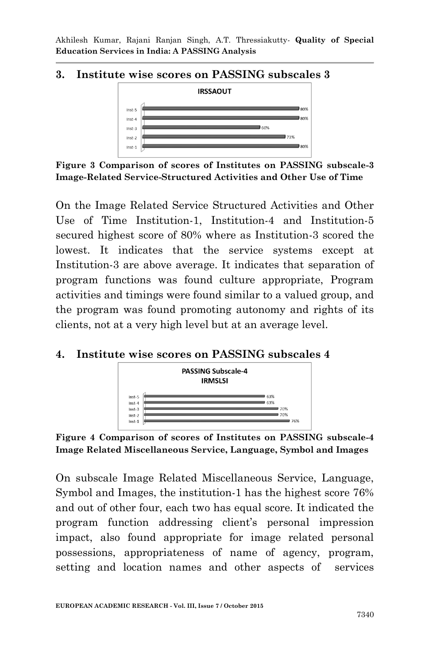#### **3. Institute wise scores on PASSING subscales 3**



**Figure 3 Comparison of scores of Institutes on PASSING subscale-3 Image-Related Service-Structured Activities and Other Use of Time**

On the Image Related Service Structured Activities and Other Use of Time Institution-1, Institution-4 and Institution-5 secured highest score of 80% where as Institution-3 scored the lowest. It indicates that the service systems except at Institution-3 are above average. It indicates that separation of program functions was found culture appropriate, Program activities and timings were found similar to a valued group, and the program was found promoting autonomy and rights of its clients, not at a very high level but at an average level.

#### **4. Institute wise scores on PASSING subscales 4**



**Figure 4 Comparison of scores of Institutes on PASSING subscale-4 Image Related Miscellaneous Service, Language, Symbol and Images**

On subscale Image Related Miscellaneous Service, Language, Symbol and Images, the institution-1 has the highest score 76% and out of other four, each two has equal score. It indicated the program function addressing client"s personal impression impact, also found appropriate for image related personal possessions, appropriateness of name of agency, program, setting and location names and other aspects of services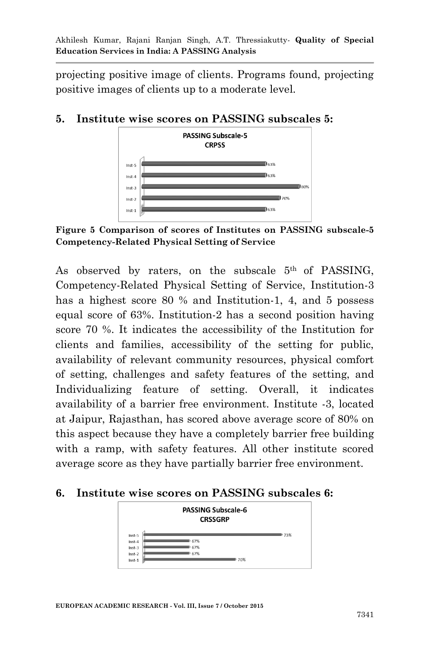projecting positive image of clients. Programs found, projecting positive images of clients up to a moderate level.

## **5. Institute wise scores on PASSING subscales 5:**



**Figure 5 Comparison of scores of Institutes on PASSING subscale-5 Competency-Related Physical Setting of Service**

As observed by raters, on the subscale  $5<sup>th</sup>$  of PASSING, Competency-Related Physical Setting of Service, Institution-3 has a highest score 80 % and Institution-1, 4, and 5 possess equal score of 63%. Institution-2 has a second position having score 70 %. It indicates the accessibility of the Institution for clients and families, accessibility of the setting for public, availability of relevant community resources, physical comfort of setting, challenges and safety features of the setting, and Individualizing feature of setting. Overall, it indicates availability of a barrier free environment. Institute -3, located at Jaipur, Rajasthan, has scored above average score of 80% on this aspect because they have a completely barrier free building with a ramp, with safety features. All other institute scored average score as they have partially barrier free environment.

## **6. Institute wise scores on PASSING subscales 6:**

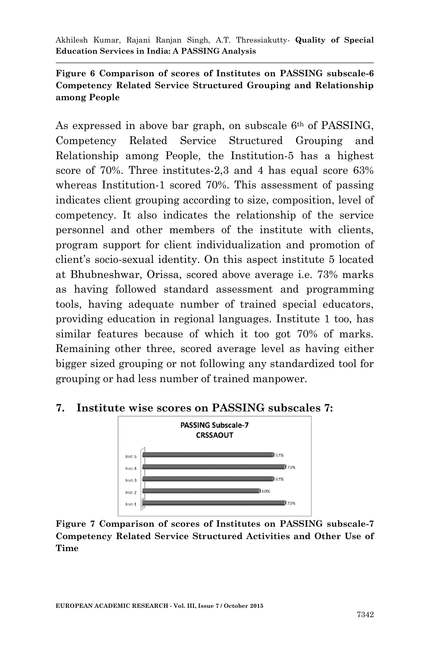#### **Figure 6 Comparison of scores of Institutes on PASSING subscale-6 Competency Related Service Structured Grouping and Relationship among People**

As expressed in above bar graph, on subscale 6th of PASSING, Competency Related Service Structured Grouping and Relationship among People, the Institution-5 has a highest score of 70%. Three institutes-2,3 and 4 has equal score 63% whereas Institution-1 scored 70%. This assessment of passing indicates client grouping according to size, composition, level of competency. It also indicates the relationship of the service personnel and other members of the institute with clients, program support for client individualization and promotion of client"s socio-sexual identity. On this aspect institute 5 located at Bhubneshwar, Orissa, scored above average i.e. 73% marks as having followed standard assessment and programming tools, having adequate number of trained special educators, providing education in regional languages. Institute 1 too, has similar features because of which it too got 70% of marks. Remaining other three, scored average level as having either bigger sized grouping or not following any standardized tool for grouping or had less number of trained manpower.

## **7. Institute wise scores on PASSING subscales 7:**



**Figure 7 Comparison of scores of Institutes on PASSING subscale-7 Competency Related Service Structured Activities and Other Use of Time**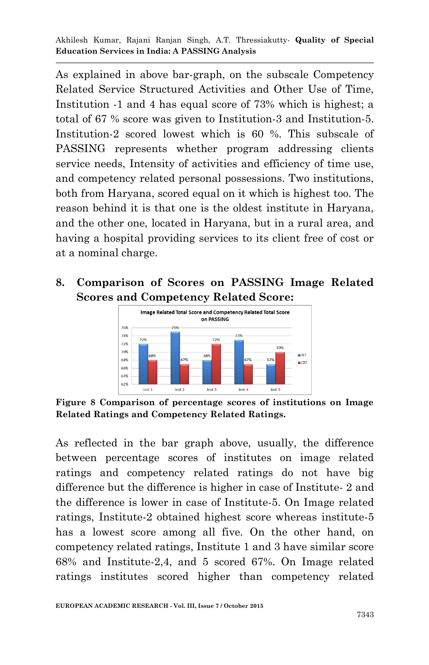As explained in above bar-graph, on the subscale Competency Related Service Structured Activities and Other Use of Time, Institution -1 and 4 has equal score of 73% which is highest; a total of 67 % score was given to Institution-3 and Institution-5. Institution-2 scored lowest which is 60 %. This subscale of PASSING represents whether program addressing clients service needs, Intensity of activities and efficiency of time use, and competency related personal possessions. Two institutions, both from Haryana, scored equal on it which is highest too. The reason behind it is that one is the oldest institute in Haryana, and the other one, located in Haryana, but in a rural area, and having a hospital providing services to its client free of cost or at a nominal charge.

# **8. Comparison of Scores on PASSING Image Related Scores and Competency Related Score:**



**Figure 8 Comparison of percentage scores of institutions on Image Related Ratings and Competency Related Ratings.**

As reflected in the bar graph above, usually, the difference between percentage scores of institutes on image related ratings and competency related ratings do not have big difference but the difference is higher in case of Institute- 2 and the difference is lower in case of Institute-5. On Image related ratings, Institute-2 obtained highest score whereas institute-5 has a lowest score among all five. On the other hand, on competency related ratings, Institute 1 and 3 have similar score 68% and Institute-2,4, and 5 scored 67%. On Image related ratings institutes scored higher than competency related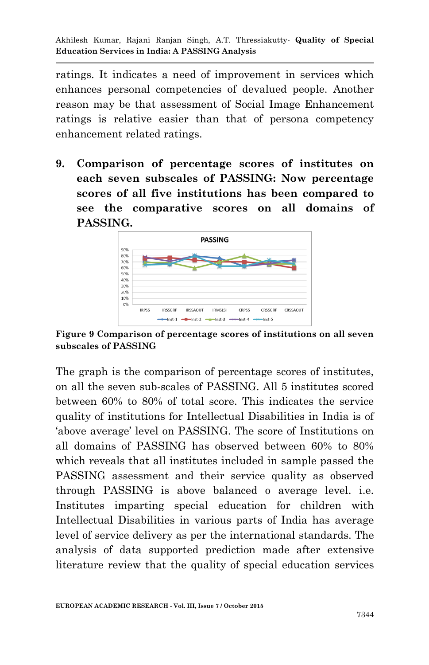ratings. It indicates a need of improvement in services which enhances personal competencies of devalued people. Another reason may be that assessment of Social Image Enhancement ratings is relative easier than that of persona competency enhancement related ratings.

**9. Comparison of percentage scores of institutes on each seven subscales of PASSING: Now percentage scores of all five institutions has been compared to see the comparative scores on all domains of PASSING.**



**Figure 9 Comparison of percentage scores of institutions on all seven subscales of PASSING**

The graph is the comparison of percentage scores of institutes, on all the seven sub-scales of PASSING. All 5 institutes scored between 60% to 80% of total score. This indicates the service quality of institutions for Intellectual Disabilities in India is of "above average" level on PASSING. The score of Institutions on all domains of PASSING has observed between 60% to 80% which reveals that all institutes included in sample passed the PASSING assessment and their service quality as observed through PASSING is above balanced o average level. i.e. Institutes imparting special education for children with Intellectual Disabilities in various parts of India has average level of service delivery as per the international standards. The analysis of data supported prediction made after extensive literature review that the quality of special education services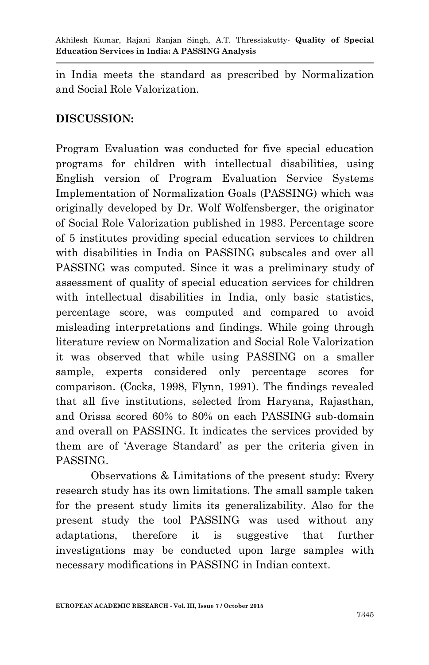in India meets the standard as prescribed by Normalization and Social Role Valorization.

# **DISCUSSION:**

Program Evaluation was conducted for five special education programs for children with intellectual disabilities, using English version of Program Evaluation Service Systems Implementation of Normalization Goals (PASSING) which was originally developed by Dr. Wolf Wolfensberger, the originator of Social Role Valorization published in 1983. Percentage score of 5 institutes providing special education services to children with disabilities in India on PASSING subscales and over all PASSING was computed. Since it was a preliminary study of assessment of quality of special education services for children with intellectual disabilities in India, only basic statistics, percentage score, was computed and compared to avoid misleading interpretations and findings. While going through literature review on Normalization and Social Role Valorization it was observed that while using PASSING on a smaller sample, experts considered only percentage scores for comparison. (Cocks, 1998, Flynn, 1991). The findings revealed that all five institutions, selected from Haryana, Rajasthan, and Orissa scored 60% to 80% on each PASSING sub-domain and overall on PASSING. It indicates the services provided by them are of "Average Standard" as per the criteria given in PASSING.

Observations & Limitations of the present study: Every research study has its own limitations. The small sample taken for the present study limits its generalizability. Also for the present study the tool PASSING was used without any adaptations, therefore it is suggestive that further investigations may be conducted upon large samples with necessary modifications in PASSING in Indian context.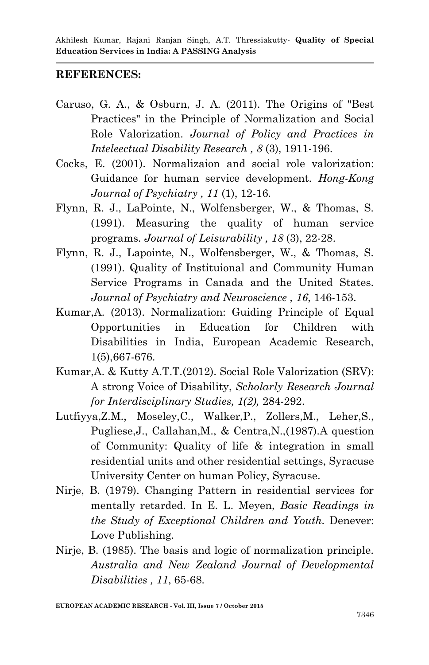## **REFERENCES:**

- Caruso, G. A., & Osburn, J. A. (2011). The Origins of "Best Practices" in the Principle of Normalization and Social Role Valorization. *Journal of Policy and Practices in Inteleectual Disability Research , 8* (3), 1911-196.
- Cocks, E. (2001). Normalizaion and social role valorization: Guidance for human service development. *Hong-Kong Journal of Psychiatry , 11* (1), 12-16.
- Flynn, R. J., LaPointe, N., Wolfensberger, W., & Thomas, S. (1991). Measuring the quality of human service programs. *Journal of Leisurability , 18* (3), 22-28.
- Flynn, R. J., Lapointe, N., Wolfensberger, W., & Thomas, S. (1991). Quality of Instituional and Community Human Service Programs in Canada and the United States. *Journal of Psychiatry and Neuroscience , 16*, 146-153.
- Kumar,A. (2013). Normalization: Guiding Principle of Equal Opportunities in Education for Children with Disabilities in India, European Academic Research, 1(5),667-676.
- Kumar,A. & Kutty A.T.T.(2012). Social Role Valorization (SRV): A strong Voice of Disability, *Scholarly Research Journal for Interdisciplinary Studies, 1(2),* 284-292.
- Lutfiyya,Z.M., Moseley,C., Walker,P., Zollers,M., Leher,S., Pugliese,J., Callahan,M., & Centra,N.,(1987).A question of Community: Quality of life & integration in small residential units and other residential settings, Syracuse University Center on human Policy, Syracuse.
- Nirje, B. (1979). Changing Pattern in residential services for mentally retarded. In E. L. Meyen, *Basic Readings in the Study of Exceptional Children and Youth.* Denever: Love Publishing.
- Nirje, B. (1985). The basis and logic of normalization principle. *Australia and New Zealand Journal of Developmental Disabilities , 11*, 65-68.